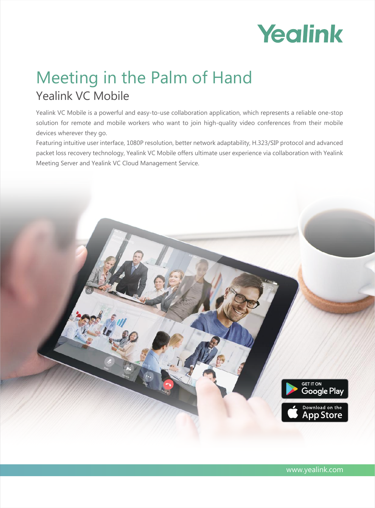

# Meeting in the Palm of Hand **Yealink VC Mobile**

Yealink VC Mobile is a powerful and easy-to-use collaboration application, which represents a reliable one-stop solution for remote and mobile workers who want to join high-quality video conferences from their mobile devices wherever they go.

Featuring intuitive user interface, 1080P resolution, better network adaptability, H.323/SIP protocol and advanced packet loss recovery technology, Yealink VC Mobile offers ultimate user experience via collaboration with Yealink Meeting Server and Yealink VC Cloud Management Service.

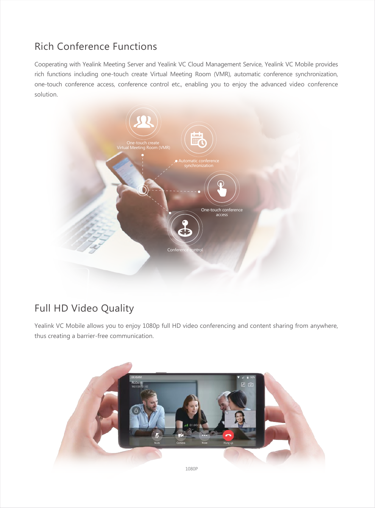### **Rich Conference Functions**

Cooperating with Yealink Meeting Server and Yealink VC Cloud Management Service, Yealink VC Mobile provides rich functions including one-touch create Virtual Meeting Room (VMR), automatic conference synchronization, one-touch conference access, conference control etc., enabling you to enjoy the advanced video conference solution.



### Full HD Video Quality

Yealink VC Mobile allows you to enjoy 1080p full HD video conferencing and content sharing from anywhere, thus creating a barrier-free communication.

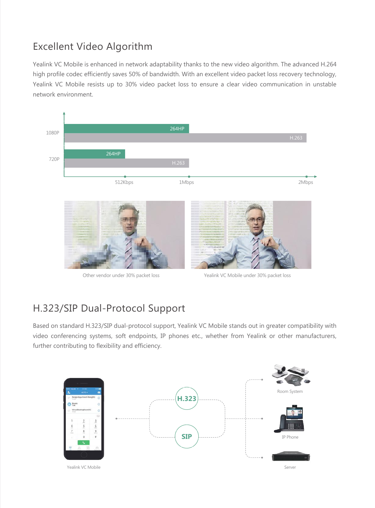## **Excellent Video Algorithm**

Yealink VC Mobile is enhanced in network adaptability thanks to the new video algorithm. The advanced H.264 high profile codec efficiently saves 50% of bandwidth. With an excellent video packet loss recovery technology, Yealink VC Mobile resists up to 30% video packet loss to ensure a clear video communication in unstable network environment.



#### H.323/SIP Dual-Protocol Support

Based on standard H.323/SIP dual-protocol support, Yealink VC Mobile stands out in greater compatibility with video conferencing systems, soft endpoints, IP phones etc., whether from Yealink or other manufacturers, further contributing to flexibility and efficiency.